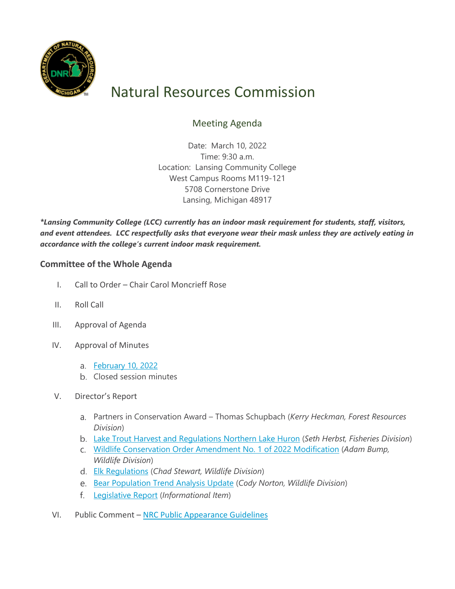

## Natural Resources Commission

## Meeting Agenda

Date: March 10, 2022 Time: 9:30 a.m. Location: Lansing Community College West Campus Rooms M119-121 5708 Cornerstone Drive Lansing, Michigan 48917

*\*Lansing Community College (LCC) currently has an indoor mask requirement for students, staff, visitors, and event attendees. LCC respectfully asks that everyone wear their mask unless they are actively eating in accordance with the college's current indoor mask requirement.*

## **Committee of the Whole Agenda**

- I. Call to Order Chair Carol Moncrieff Rose
- II. Roll Call
- III. Approval of Agenda
- IV. Approval of Minutes
	- [February 10, 2022](http://www.michigan.gov/documents/dnr/Draft_February_Minutes_Final_749208_7.pdf)
	- b. Closed session minutes
- V. Director's Report
	- Partners in Conservation Award Thomas Schupbach (*Kerry Heckman, Forest Resources Division*)
	- [Lake Trout Harvest and Regulations Northern Lake Huron](http://www.michigan.gov/documents/dnr/Fisheries_March_2022_749586_7.pdf) (*Seth Herbst, Fisheries Division*)
	- [Wildlife Conservation Order Amendment No. 1 of 2022 Modification](http://www.michigan.gov/documents/dnr/2022_Furbearer_mod_749587_7.pdf) (*Adam Bump, Wildlife Division*)
	- [Elk Regulations](http://www.michigan.gov/documents/dnr/22-23_Elk_Regulations_749592_7.pdf) (*Chad Stewart, Wildlife Division*)
	- [Bear Population Trend Analysis Update](http://www.michigan.gov/documents/dnr/Bear_March_2022_749593_7.pdf) (*Cody Norton, Wildlife Division*)
	- [Legislative Report](http://www.michigan.gov/documents/dnr/3_LegReport_2022_749594_7.pdf) (*Informational Item*)
- VI. Public Comment – [NRC Public Appearance Guidelines](http://www.michigan.gov/documents/dnr/Public_Appearance_Guidelines_6.19.19_669545_7.pdf)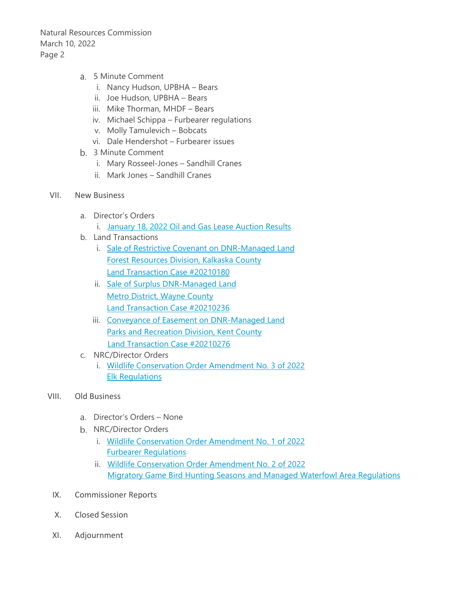Natural Resources Commission March 10, 2022 Page 2

- 5 Minute Comment
	- i. Nancy Hudson, UPBHA Bears
	- ii. Joe Hudson, UPBHA Bears
	- iii. Mike Thorman, MHDF Bears
	- iv. Michael Schippa Furbearer regulations
	- v. Molly Tamulevich Bobcats
	- vi. Dale Hendershot Furbearer issues
- 3 Minute Comment
	- i. Mary Rosseel-Jones Sandhill Cranes
	- ii. Mark Jones Sandhill Cranes
- VII. New Business
	- a. Director's Orders
		- i. [January 18, 2022 Oil and Gas Lease Auction Results](http://www.michigan.gov/documents/dnr/Signed_OG_Auction_748905_7.pdf)
	- b. Land Transactions
		- i. Sale of [Restrictive Covenant on DNR-Managed Land](http://www.michigan.gov/documents/dnr/Signed_20210180_748906_7.pdf) [Forest Resources Division, Kalkaska](http://www.michigan.gov/documents/dnr/Signed_20210180_748906_7.pdf) County [Land Transaction Case #20210180](http://www.michigan.gov/documents/dnr/Signed_20210180_748906_7.pdf)
		- ii. [Sale of Surplus DNR-Managed Land](http://www.michigan.gov/documents/dnr/Signed_20210236_748907_7.pdf) [Metro District, Wayne County](http://www.michigan.gov/documents/dnr/Signed_20210236_748907_7.pdf) [Land Transaction Case #20210236](http://www.michigan.gov/documents/dnr/Signed_20210236_748907_7.pdf)
		- iii. [Conveyance of Easement on DNR-Managed Land](http://www.michigan.gov/documents/dnr/Signed_20210276_748908_7.pdf) [Parks and Recreation Division, Kent County](http://www.michigan.gov/documents/dnr/Signed_20210276_748908_7.pdf) [Land Transaction Case #20210276](http://www.michigan.gov/documents/dnr/Signed_20210276_748908_7.pdf)
	- c. NRC/Director Orders
		- i. [Wildlife Conservation Order Amendment No. 3](http://www.michigan.gov/documents/dnr/Signed_03WCO2022_748912_7.pdf) of 2022 Elk [Regulations](http://www.michigan.gov/documents/dnr/Signed_03WCO2022_748912_7.pdf)
- VIII. Old Business
	- Director's Orders None
	- b. NRC/Director Orders
		- i. [Wildlife Conservation Order Amendment No. 1 of 2022](http://www.michigan.gov/documents/dnr/Signed_01WCO2022_748909_7.pdf) [Furbearer Regulations](http://www.michigan.gov/documents/dnr/Signed_01WCO2022_748909_7.pdf)
		- ii. [Wildlife Conservation Order Amendment No. 2 of 2022](http://www.michigan.gov/documents/dnr/Signed_02WCO2022_748911_7.pdf) [Migratory Game Bird Hunting Seasons and Managed Waterfowl Area Regulations](http://www.michigan.gov/documents/dnr/Signed_02WCO2022_748911_7.pdf)
	- IX. Commissioner Reports
	- X. Closed Session
- XI. Adjournment